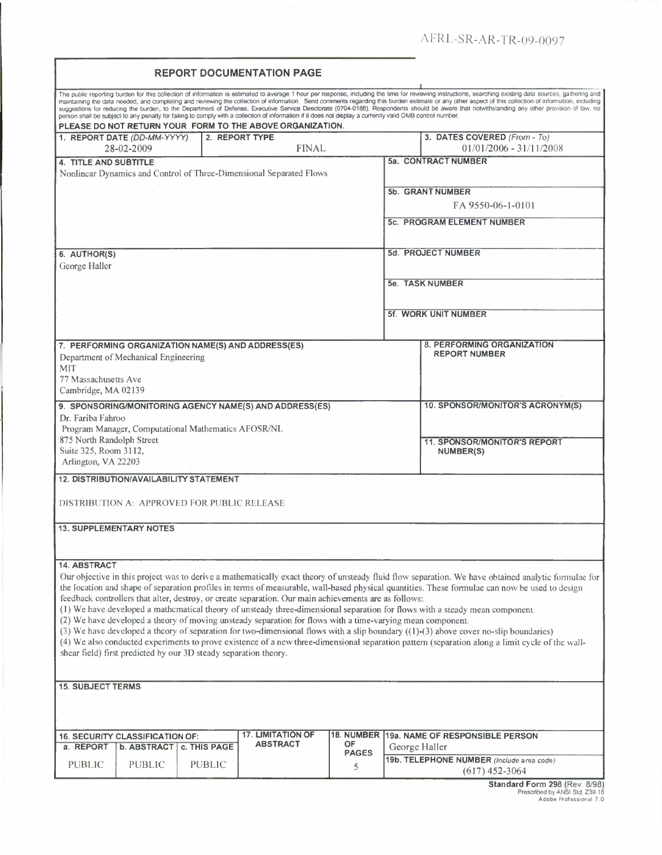|  | <b>REPORT DOCUMENTATION PAGE</b> |  |
|--|----------------------------------|--|
|--|----------------------------------|--|

| The public reporting burden for this collection of information is estimated to average 1 hour per response, including the time for reviewing instructions, searching existing data sources, galthering and<br>maintaining the data needed, and completing and reviewing the collection of information. Send comments regarding this burden estimate or any other aspect of this collection of information, including<br>suggestions for reducing the burden, to the Department of Defense, Executive Service Directorate (0704-0188). Respondents should be aware that notwithstanding any other provision of law, no<br>person shall be subject to any penalty for failing to comply with a collection of information if it does not display a currently valid OMB control number. |  |                  |  |  |                                   |  |
|-------------------------------------------------------------------------------------------------------------------------------------------------------------------------------------------------------------------------------------------------------------------------------------------------------------------------------------------------------------------------------------------------------------------------------------------------------------------------------------------------------------------------------------------------------------------------------------------------------------------------------------------------------------------------------------------------------------------------------------------------------------------------------------|--|------------------|--|--|-----------------------------------|--|
| PLEASE DO NOT RETURN YOUR FORM TO THE ABOVE ORGANIZATION.                                                                                                                                                                                                                                                                                                                                                                                                                                                                                                                                                                                                                                                                                                                           |  |                  |  |  |                                   |  |
| 1. REPORT DATE (DD-MM-YYYY)                                                                                                                                                                                                                                                                                                                                                                                                                                                                                                                                                                                                                                                                                                                                                         |  | 2. REPORT TYPE   |  |  | 3. DATES COVERED (From - To)      |  |
| 28-02-2009                                                                                                                                                                                                                                                                                                                                                                                                                                                                                                                                                                                                                                                                                                                                                                          |  | <b>FINAL</b>     |  |  | $01/01/2006 - 31/11/2008$         |  |
| 4. TITLE AND SUBTITLE                                                                                                                                                                                                                                                                                                                                                                                                                                                                                                                                                                                                                                                                                                                                                               |  |                  |  |  | 5a. CONTRACT NUMBER               |  |
| Nonlinear Dynamics and Control of Three-Dimensional Separated Flows                                                                                                                                                                                                                                                                                                                                                                                                                                                                                                                                                                                                                                                                                                                 |  |                  |  |  |                                   |  |
|                                                                                                                                                                                                                                                                                                                                                                                                                                                                                                                                                                                                                                                                                                                                                                                     |  |                  |  |  |                                   |  |
|                                                                                                                                                                                                                                                                                                                                                                                                                                                                                                                                                                                                                                                                                                                                                                                     |  |                  |  |  | 5b. GRANT NUMBER                  |  |
|                                                                                                                                                                                                                                                                                                                                                                                                                                                                                                                                                                                                                                                                                                                                                                                     |  |                  |  |  | FA 9550-06-1-0101                 |  |
|                                                                                                                                                                                                                                                                                                                                                                                                                                                                                                                                                                                                                                                                                                                                                                                     |  |                  |  |  |                                   |  |
|                                                                                                                                                                                                                                                                                                                                                                                                                                                                                                                                                                                                                                                                                                                                                                                     |  |                  |  |  | <b>5c. PROGRAM ELEMENT NUMBER</b> |  |
|                                                                                                                                                                                                                                                                                                                                                                                                                                                                                                                                                                                                                                                                                                                                                                                     |  |                  |  |  |                                   |  |
|                                                                                                                                                                                                                                                                                                                                                                                                                                                                                                                                                                                                                                                                                                                                                                                     |  |                  |  |  |                                   |  |
| 6. AUTHOR(S)                                                                                                                                                                                                                                                                                                                                                                                                                                                                                                                                                                                                                                                                                                                                                                        |  |                  |  |  | 5d. PROJECT NUMBER                |  |
| George Haller                                                                                                                                                                                                                                                                                                                                                                                                                                                                                                                                                                                                                                                                                                                                                                       |  |                  |  |  |                                   |  |
|                                                                                                                                                                                                                                                                                                                                                                                                                                                                                                                                                                                                                                                                                                                                                                                     |  |                  |  |  | 5e. TASK NUMBER                   |  |
|                                                                                                                                                                                                                                                                                                                                                                                                                                                                                                                                                                                                                                                                                                                                                                                     |  |                  |  |  |                                   |  |
|                                                                                                                                                                                                                                                                                                                                                                                                                                                                                                                                                                                                                                                                                                                                                                                     |  |                  |  |  |                                   |  |
|                                                                                                                                                                                                                                                                                                                                                                                                                                                                                                                                                                                                                                                                                                                                                                                     |  |                  |  |  | <b>5f. WORK UNIT NUMBER</b>       |  |
|                                                                                                                                                                                                                                                                                                                                                                                                                                                                                                                                                                                                                                                                                                                                                                                     |  |                  |  |  |                                   |  |
|                                                                                                                                                                                                                                                                                                                                                                                                                                                                                                                                                                                                                                                                                                                                                                                     |  |                  |  |  |                                   |  |
| 7. PERFORMING ORGANIZATION NAME(S) AND ADDRESS(ES)                                                                                                                                                                                                                                                                                                                                                                                                                                                                                                                                                                                                                                                                                                                                  |  |                  |  |  | 8. PERFORMING ORGANIZATION        |  |
| Department of Mechanical Engineering                                                                                                                                                                                                                                                                                                                                                                                                                                                                                                                                                                                                                                                                                                                                                |  |                  |  |  | <b>REPORT NUMBER</b>              |  |
| <b>MIT</b>                                                                                                                                                                                                                                                                                                                                                                                                                                                                                                                                                                                                                                                                                                                                                                          |  |                  |  |  |                                   |  |
| 77 Massachusetts Ave                                                                                                                                                                                                                                                                                                                                                                                                                                                                                                                                                                                                                                                                                                                                                                |  |                  |  |  |                                   |  |
|                                                                                                                                                                                                                                                                                                                                                                                                                                                                                                                                                                                                                                                                                                                                                                                     |  |                  |  |  |                                   |  |
| Cambridge, MA 02139                                                                                                                                                                                                                                                                                                                                                                                                                                                                                                                                                                                                                                                                                                                                                                 |  |                  |  |  |                                   |  |
| 9. SPONSORING/MONITORING AGENCY NAME(S) AND ADDRESS(ES)                                                                                                                                                                                                                                                                                                                                                                                                                                                                                                                                                                                                                                                                                                                             |  |                  |  |  | 10. SPONSOR/MONITOR'S ACRONYM(S)  |  |
| Dr. Fariba Fahroo                                                                                                                                                                                                                                                                                                                                                                                                                                                                                                                                                                                                                                                                                                                                                                   |  |                  |  |  |                                   |  |
| Program Manager, Computational Mathematics AFOSR/NL                                                                                                                                                                                                                                                                                                                                                                                                                                                                                                                                                                                                                                                                                                                                 |  |                  |  |  |                                   |  |
| 875 North Randolph Street                                                                                                                                                                                                                                                                                                                                                                                                                                                                                                                                                                                                                                                                                                                                                           |  |                  |  |  | 11. SPONSOR/MONITOR'S REPORT      |  |
| Suite 325, Room 3112,                                                                                                                                                                                                                                                                                                                                                                                                                                                                                                                                                                                                                                                                                                                                                               |  |                  |  |  | NUMBER(S)                         |  |
| Arlington, VA 22203                                                                                                                                                                                                                                                                                                                                                                                                                                                                                                                                                                                                                                                                                                                                                                 |  |                  |  |  |                                   |  |
|                                                                                                                                                                                                                                                                                                                                                                                                                                                                                                                                                                                                                                                                                                                                                                                     |  |                  |  |  |                                   |  |
| <b>12. DISTRIBUTION/AVAILABILITY STATEMENT</b>                                                                                                                                                                                                                                                                                                                                                                                                                                                                                                                                                                                                                                                                                                                                      |  |                  |  |  |                                   |  |
|                                                                                                                                                                                                                                                                                                                                                                                                                                                                                                                                                                                                                                                                                                                                                                                     |  |                  |  |  |                                   |  |
| DISTRIBUTION A: APPROVED FOR PUBLIC RELEASE                                                                                                                                                                                                                                                                                                                                                                                                                                                                                                                                                                                                                                                                                                                                         |  |                  |  |  |                                   |  |
|                                                                                                                                                                                                                                                                                                                                                                                                                                                                                                                                                                                                                                                                                                                                                                                     |  |                  |  |  |                                   |  |
| <b>13. SUPPLEMENTARY NOTES</b>                                                                                                                                                                                                                                                                                                                                                                                                                                                                                                                                                                                                                                                                                                                                                      |  |                  |  |  |                                   |  |
|                                                                                                                                                                                                                                                                                                                                                                                                                                                                                                                                                                                                                                                                                                                                                                                     |  |                  |  |  |                                   |  |
|                                                                                                                                                                                                                                                                                                                                                                                                                                                                                                                                                                                                                                                                                                                                                                                     |  |                  |  |  |                                   |  |
|                                                                                                                                                                                                                                                                                                                                                                                                                                                                                                                                                                                                                                                                                                                                                                                     |  |                  |  |  |                                   |  |
| 14. ABSTRACT                                                                                                                                                                                                                                                                                                                                                                                                                                                                                                                                                                                                                                                                                                                                                                        |  |                  |  |  |                                   |  |
| Our objective in this project was to derive a mathematically exact theory of unsteady fluid flow separation. We have obtained analytic formulae for                                                                                                                                                                                                                                                                                                                                                                                                                                                                                                                                                                                                                                 |  |                  |  |  |                                   |  |
| the location and shape of separation profiles in terms of measurable, wall-based physical quantities. These formulac can now be used to design                                                                                                                                                                                                                                                                                                                                                                                                                                                                                                                                                                                                                                      |  |                  |  |  |                                   |  |
| feedback controllers that alter, destroy, or create separation. Our main achievements are as follows:                                                                                                                                                                                                                                                                                                                                                                                                                                                                                                                                                                                                                                                                               |  |                  |  |  |                                   |  |
| (1) We have developed a mathematical theory of unsteady three-dimensional separation for flows with a steady mean component.                                                                                                                                                                                                                                                                                                                                                                                                                                                                                                                                                                                                                                                        |  |                  |  |  |                                   |  |
| (2) We have developed a theory of moving unsteady separation for flows with a time-varying mean component.                                                                                                                                                                                                                                                                                                                                                                                                                                                                                                                                                                                                                                                                          |  |                  |  |  |                                   |  |
| (3) We have developed a theory of separation for two-dimensional flows with a slip boundary ((1)-(3) above cover no-slip boundaries)                                                                                                                                                                                                                                                                                                                                                                                                                                                                                                                                                                                                                                                |  |                  |  |  |                                   |  |
| (4) We also conducted experiments to prove existence of a new three-dimensional separation pattern (separation along a limit cycle of the wall-                                                                                                                                                                                                                                                                                                                                                                                                                                                                                                                                                                                                                                     |  |                  |  |  |                                   |  |
| shear field) first predicted by our 3D steady separation theory.                                                                                                                                                                                                                                                                                                                                                                                                                                                                                                                                                                                                                                                                                                                    |  |                  |  |  |                                   |  |
|                                                                                                                                                                                                                                                                                                                                                                                                                                                                                                                                                                                                                                                                                                                                                                                     |  |                  |  |  |                                   |  |
|                                                                                                                                                                                                                                                                                                                                                                                                                                                                                                                                                                                                                                                                                                                                                                                     |  |                  |  |  |                                   |  |
| <b>15. SUBJECT TERMS</b>                                                                                                                                                                                                                                                                                                                                                                                                                                                                                                                                                                                                                                                                                                                                                            |  |                  |  |  |                                   |  |
|                                                                                                                                                                                                                                                                                                                                                                                                                                                                                                                                                                                                                                                                                                                                                                                     |  |                  |  |  |                                   |  |
|                                                                                                                                                                                                                                                                                                                                                                                                                                                                                                                                                                                                                                                                                                                                                                                     |  |                  |  |  |                                   |  |
|                                                                                                                                                                                                                                                                                                                                                                                                                                                                                                                                                                                                                                                                                                                                                                                     |  |                  |  |  |                                   |  |
|                                                                                                                                                                                                                                                                                                                                                                                                                                                                                                                                                                                                                                                                                                                                                                                     |  |                  |  |  |                                   |  |
| <b>17. LIMITATION OF</b><br>18. NUMBER<br>19a. NAME OF RESPONSIBLE PERSON<br><b>16. SECURITY CLASSIFICATION OF:</b>                                                                                                                                                                                                                                                                                                                                                                                                                                                                                                                                                                                                                                                                 |  |                  |  |  |                                   |  |
| <b>ABSTRACT</b><br>OF<br>a. REPORT<br><b>b. ABSTRACT   c. THIS PAGE</b><br>George Haller                                                                                                                                                                                                                                                                                                                                                                                                                                                                                                                                                                                                                                                                                            |  |                  |  |  |                                   |  |
| <b>PAGES</b><br>19b. TELEPHONE NUMBER (Include area code)                                                                                                                                                                                                                                                                                                                                                                                                                                                                                                                                                                                                                                                                                                                           |  |                  |  |  |                                   |  |
| <b>PUBLIC</b><br><b>PUBLIC</b><br><b>PUBLIC</b><br>5                                                                                                                                                                                                                                                                                                                                                                                                                                                                                                                                                                                                                                                                                                                                |  | $(617)$ 452-3064 |  |  |                                   |  |
|                                                                                                                                                                                                                                                                                                                                                                                                                                                                                                                                                                                                                                                                                                                                                                                     |  |                  |  |  |                                   |  |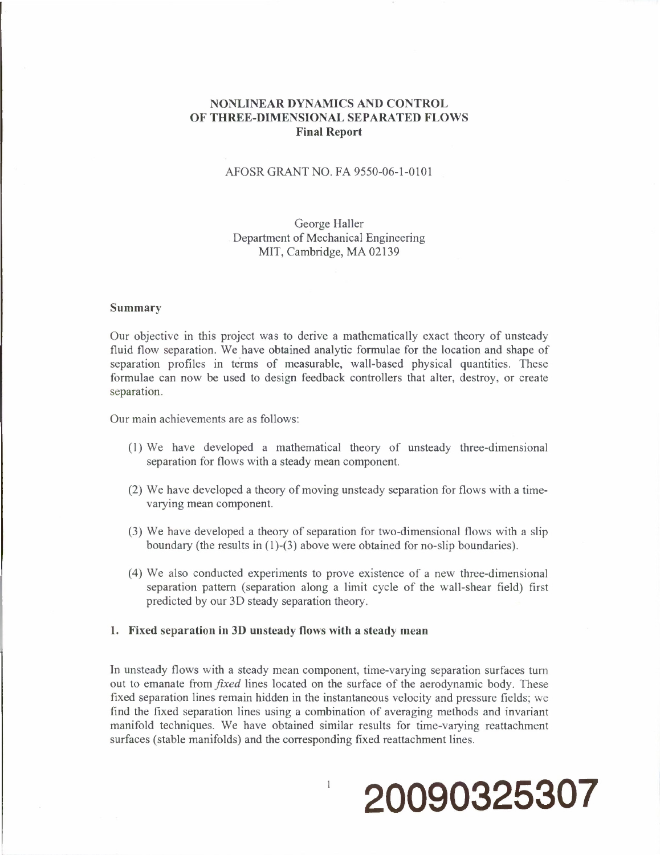# **NONLINEAR DYNAMICS AND CONTROL OF THREE-DIMENSIONAL SEPARATED FLOWS Final Report**

## AFOSR GRANT NO. FA 9550-06-1-0101

## George Haller Department of Mechanical Engineering MIT, Cambridge, MA 02139

#### **Summary**

Our objective in this project was to derive a mathematically exact theory of unsteady fluid flow separation. We have obtained analytic formulae for the location and shape of separation profiles in terms of measurable, wall-based physical quantities. These formulae can now be used to design feedback controllers that alter, destroy, or create separation.

Our main achievements are as follows:

- (1) We have developed a mathematical theory of unsteady three-dimensional separation for flows with a steady mean component.
- (2) We have developed a theory of moving unsteady separation for flows with a timevarying mean component.
- (3) We have developed a theory of separation for two-dimensional flows with a slip boundary (the results in (1)-(3) above were obtained for no-slip boundaries).
- (4) We also conducted experiments to prove existence of a new three-dimensional separation pattern (separation along a limit cycle of the wall-shear field) first predicted by our 3D steady separation theory.

#### **1. Fixed separation in 3D unsteady flows with a steady mean**

**In** unsteady flows with a steady mean component, time-varying separation surfaces turn out to emanate from *fixed* lines located on the surface of the aerodynamic body. These fixed separation lines remain hidden in the instantaneous velocity and pressure fields; we find the fixed separation lines using a combination of averaging methods and invariant manifold techniques. We have obtained similar results for time-varying reattachment surfaces (stable manifolds) and the corresponding fixed reattachment lines.

 $\mathbf{1}$ 

# **20090325307**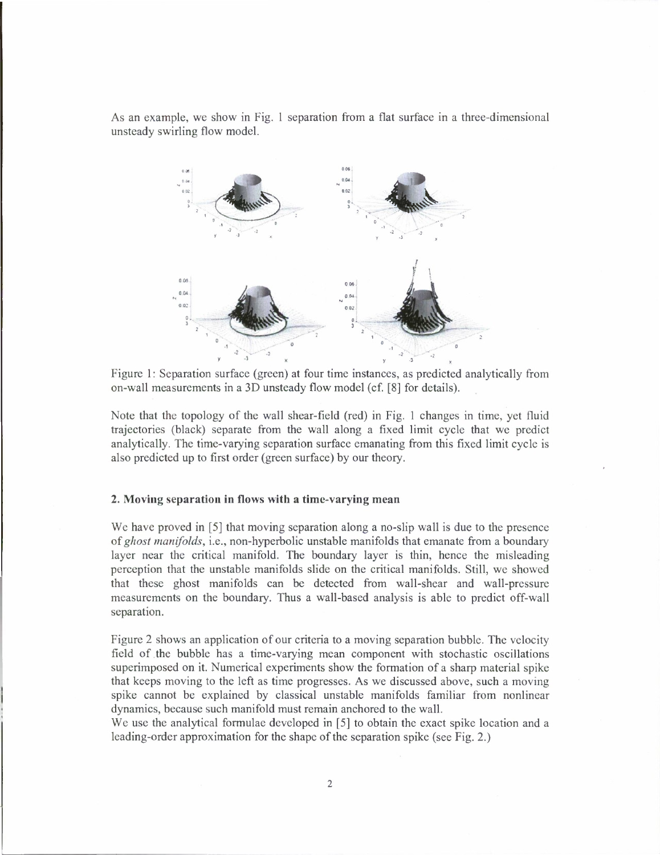As an example, we show in Fig. <sup>1</sup> separation from a flat surface in a three-dimensional unsteady swirling flow model.



Figure 1: Separation surface (green) at four time instances, as predicted analytically from on-wall measurements in a 3D unsteady flow model (cf. [8] for details).

Note that the topology of the wall shear-field (red) in Fig. <sup>1</sup> changes in time, yet fluid trajectories (black) separate from the wall along a fixed limit cycle that we predict analytically. The time-varying separation surface emanating from this fixed limit cycle is also predicted up to first order (green surface) by our theory.

#### **2. Moving separation in flows with a time-varying mean**

We have proved in [5] that moving separation along a no-slip wall is due to the presence of*ghost manifolds,* i.e., non-hyperbolic unstable manifolds that emanate from a boundary layer near the critical manifold. The boundary layer is thin, hence the misleading perception that the unstable manifolds slide on the critical manifolds. Still, we showed that these ghost manifolds can be detected from wall-shear and wall-pressure measurements on the boundary. Thus a wall-based analysis is able to predict off-wall separation.

Figure 2 shows an application of our criteria to a moving separation bubble. The velocity field of the bubble has a time-varying mean component with stochastic oscillations superimposed on it. Numerical experiments show the formation of a sharp material spike that keeps moving to the left as time progresses. As we discussed above, such a moving spike cannot be explained by classical unstable manifolds familiar from nonlinear dynamics, because such manifold must remain anchored to the wall.

We use the analytical formulae developed in [5] to obtain the exact spike location and a leading-order approximation for the shape of the separation spike (see Fig. 2.)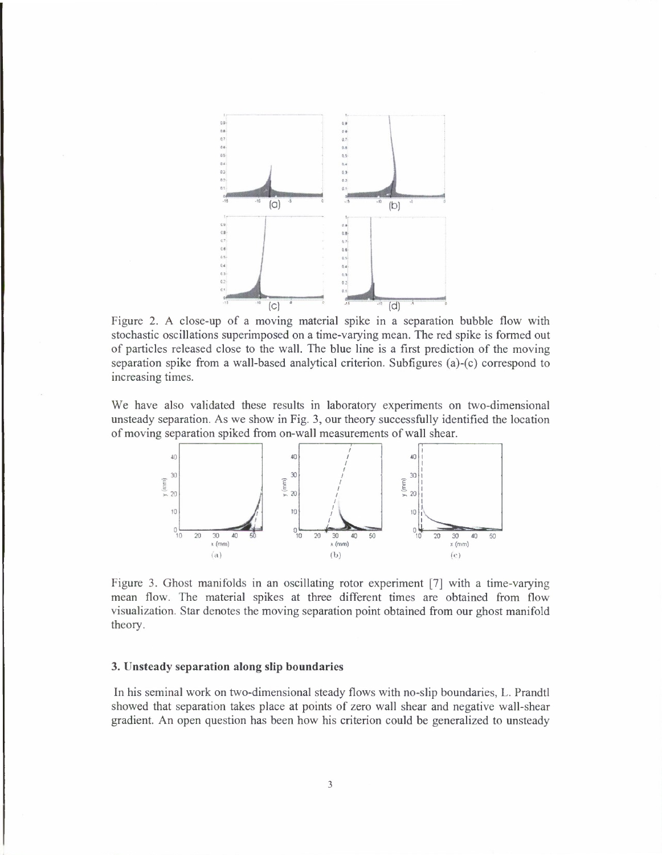

Figure 2. A close-up of a moving material spike in a separation bubble flow with stochastic oscillations superimposed on a time-varying mean. The red spike is formed out of particles released close to the wall. The blue line is a first prediction of the moving separation spike from a wall-based analytical criterion. Subfigures (a)-(c) correspond to increasing times.

We have also validated these results in laboratory experiments on two-dimensional unsteady separation. As we show in Fig. 3, our theory successfully identified the location of moving separation spiked from on-wall measurements of wall shear.



Figure 3. Ghost manifolds in an oscillating rotor experiment [7] with a time-varying mean flow. The material spikes at three different times are obtained from flow visualization. Star denotes the moving separation point obtained from our ghost manifold theory.

#### **3. Unsteady separation along slip boundaries**

In his seminal work on two-dimensional steady flows with no-slip boundaries, L. Prandtl showed that separation takes place at points of zero wall shear and negative wall-shear gradient. An open question has been how his criterion could be generalized to unsteady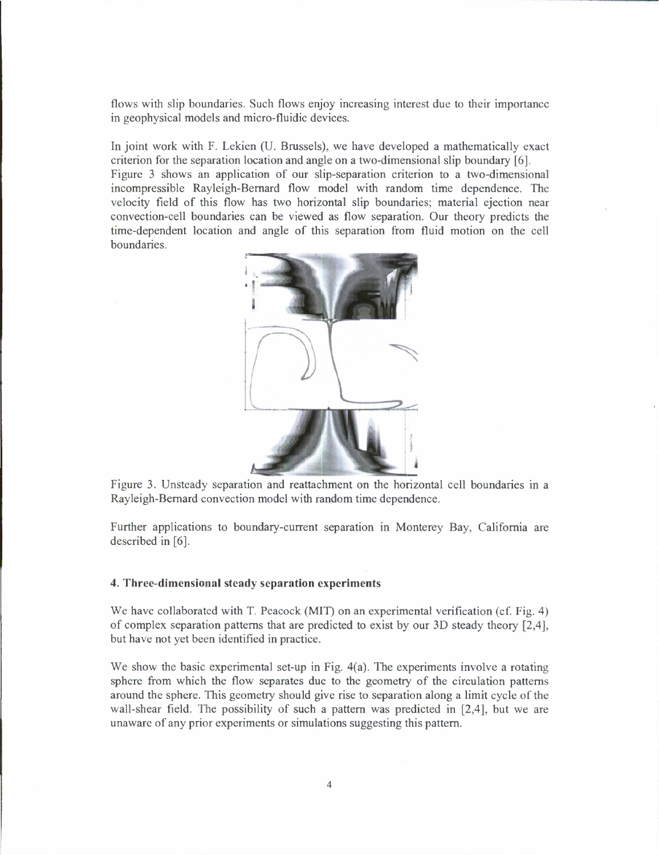flows with slip boundaries. Such flows enjoy increasing interest due to their importance in geophysical models and micro-fluidic devices.

In joint work with F. Lekien (U. Brussels), we have developed a mathematically exact criterion for the separation location and angle on a two-dimensional slip boundary [6]. Figure <sup>3</sup> shows an application of our slip-separation criterion to a two-dimensional incompressible Rayleigh-Bernard flow model with random time dependence. The velocity field of this flow has two horizontal slip boundaries; material ejection near convection-cell boundaries can be viewed as flow separation. Our theory predicts the time-dependent location and angle of this separation from fluid motion on the cell boundaries.



Figure 3. Unsteady separation and reattachment on the horizontal cell boundaries in a Rayleigh-Bernard convection model with random time dependence.

Further applications to boundary-current separation in Monterey Bay, California are described in [6].

### **4. Three-dimensional steady separation experiments**

We have collaborated with T. Peacock (MIT) on an experimental verification (cf. Fig. 4) of complex separation patterns that are predicted to exist by our 3D steady theory [2,4], but have not yet been identified in practice.

We show the basic experimental set-up in Fig. 4(a). The experiments involve a rotating sphere from which the flow separates due to the geometry of the circulation patterns around the sphere. This geometry should give rise to separation along a limit cycle of the wall-shear field. The possibility of such a pattern was predicted in [2,4], but we are unaware of any prior experiments or simulations suggesting this pattern.